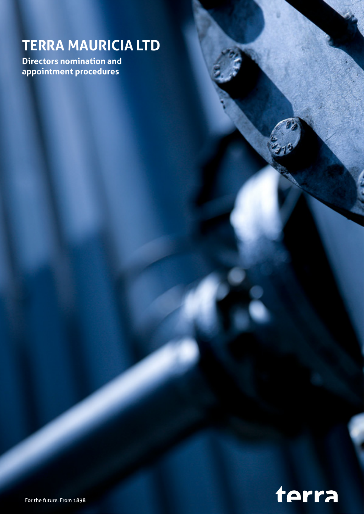# **TERRA MAURICIA LTD**

**Directors nomination and appointment procedures**



**Directors nomination and appointment procedures 1/6**

For the future. From 1838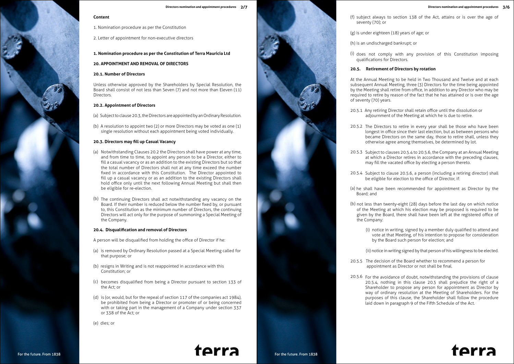#### **Content**

- 1. Nomination procedure as per the Constitution
- 2. Letter of appointment for non-executive directors

#### **1. Nomination procedure as per the Constitution of Terra Mauricia Ltd**

#### **20. APPOINTMENT AND REMOVAL OF DIRECTORS**

#### **20.1. Number of Directors**

Unless otherwise approved by the Shareholders by Special Resolution, the Board shall consist of not less than Seven (7) and not more than Eleven (11) Directors.

#### **20.2. Appointment of Directors**

- (a) Subject to clause 20.3, the Directors are appointed by an Ordinary Resolution.
- (b) A resolution to appoint two (2) or more Directors may be voted as one (1) single resolution without each appointment being voted individually.

#### **20.3. Directors may fill up Casual Vacancy**

- (a) Notwithstanding Clauses 20.2 the Directors shall have power at any time, and from time to time, to appoint any person to be a Director, either to fill a casual vacancy or as an addition to the existing Directors but so that the total number of Directors shall not at any time exceed the number fixed in accordance with this Constitution. The Director appointed to fill up a casual vacancy or as an addition to the existing Directors shall hold office only until the next following Annual Meeting but shall then be eligible for re-election.
- (b) The continuing Directors shall act notwithstanding any vacancy on the Board. If their number is reduced below the number fixed by, or pursuant to, this Constitution as the minimum number of Directors, the continuing Directors will act only for the purpose of summoning a Special Meeting of the Company.

#### **20.4. Disqualification and removal of Directors**

A person will be disqualified from holding the office of Director if he:

- (a) is removed by Ordinary Resolution passed at a Special Meeting called for that purpose; or
- (b) resigns in Writing and is not reappointed in accordance with this Constitution; or
- (c) becomes disqualified from being a Director pursuant to section 133 of the Act; or
- (d) is (or, would, but for the repeal of section 117 of the companies act 1984), be prohibited from being a Director or promoter of or being concerned with or taking part in the management of a Company under section 337 or 338 of the Act; or
- (e) dies; or

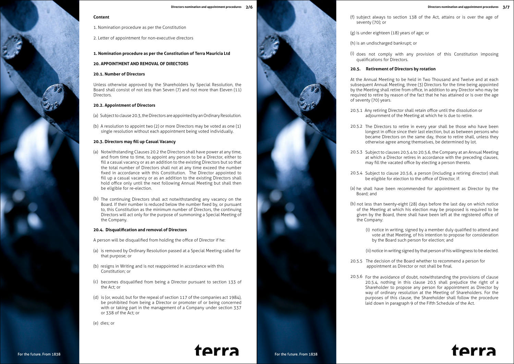- (f) subject always to section 138 of the Act, attains or is over the age of seventy (70); or
- (g) is under eighteen (18) years of age; or
- (h) is an undischarged bankrupt; or
- (i) does not comply with any provision of this Constitution imposing qualifications for Directors.

#### **20.5. Retirement of Directors by rotation**

At the Annual Meeting to be held in Two Thousand and Twelve and at each subsequent Annual Meeting, three (3) Directors for the time being appointed by the Meeting shall retire from office, in addition to any Director who may be required to retire by reason of the fact that he has attained or is over the age of seventy (70) years.

- 20.5.1 Any retiring Director shall retain office until the dissolution or adjournment of the Meeting at which he is due to retire.
- 20.5.2 The Directors to retire in every year shall be those who have been longest in office since their last election, but as between persons who became Directors on the same day, those to retire shall, unless they otherwise agree among themselves, be determined by lot.
- 20.5.3 Subject to clauses 20.5.4 to 20.5.6, the Company at an Annual Meeting at which a Director retires in accordance with the preceding clauses, may fill the vacated office by electing a person thereto.
- 20.5.4 Subject to clause 20.5.6, a person (including a retiring director) shall be eligible for election to the office of Director, if:
- (a) he shall have been recommended for appointment as Director by the Board; and
- (b) not less than twenty-eight (28) days before the last day on which notice of the Meeting at which his election may be proposed is required to be given by the Board, there shall have been left at the registered office of the Company:
	- (i) notice in writing, signed by a member duly qualified to attend and vote at that Meeting, of his intention to propose for consideration by the Board such person for election; and
	- (ii) notice in writing signed by that person of his willingness to be elected.
- 20.5.5 The decision of the Board whether to recommend a person for appointment as Director or not shall be final.
- 20.5.6 For the avoidance of doubt, notwithstanding the provisions of clause 20.5.4, nothing in this clause 20.5 shall prejudice the right of a Shareholder to propose any person for appointment as Director by way of ordinary resolution at the Meeting of Shareholders. For the purposes of this clause, the Shareholder shall follow the procedure laid down in paragraph 9 of the Fifth Schedule of the Act.

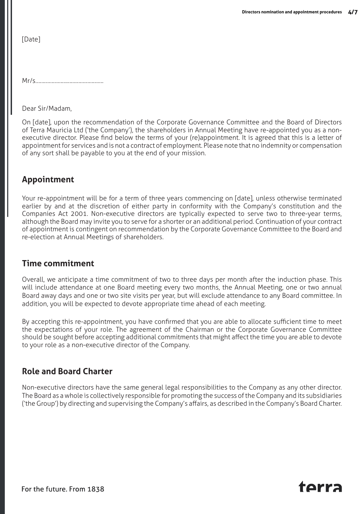[Date]

Mr/s……………………………………….

Dear Sir/Madam,

On [date], upon the recommendation of the Corporate Governance Committee and the Board of Directors of Terra Mauricia Ltd ('the Company'), the shareholders in Annual Meeting have re-appointed you as a nonexecutive director. Please find below the terms of your (re)appointment. It is agreed that this is a letter of appointment for services and is not a contract of employment. Please note that no indemnity or compensation of any sort shall be payable to you at the end of your mission.

## **Appointment**

Your re-appointment will be for a term of three years commencing on [date], unless otherwise terminated earlier by and at the discretion of either party in conformity with the Company's constitution and the Companies Act 2001. Non-executive directors are typically expected to serve two to three-year terms, although the Board may invite you to serve for a shorter or an additional period. Continuation of your contract of appointment is contingent on recommendation by the Corporate Governance Committee to the Board and re-election at Annual Meetings of shareholders.

## **Time commitment**

Overall, we anticipate a time commitment of two to three days per month after the induction phase. This will include attendance at one Board meeting every two months, the Annual Meeting, one or two annual Board away days and one or two site visits per year, but will exclude attendance to any Board committee. In addition, you will be expected to devote appropriate time ahead of each meeting.

By accepting this re-appointment, you have confirmed that you are able to allocate sufficient time to meet the expectations of your role. The agreement of the Chairman or the Corporate Governance Committee should be sought before accepting additional commitments that might affect the time you are able to devote to your role as a non-executive director of the Company.

## **Role and Board Charter**

Non-executive directors have the same general legal responsibilities to the Company as any other director. The Board as a whole is collectively responsible for promoting the success of the Company and its subsidiaries ('the Group') by directing and supervising the Company's affairs, as described in the Company's Board Charter.

## tarra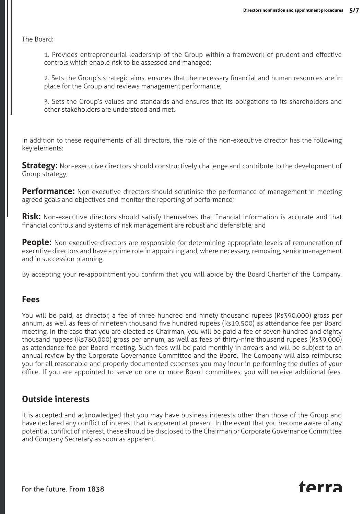The Board:

1. Provides entrepreneurial leadership of the Group within a framework of prudent and effective controls which enable risk to be assessed and managed;

2. Sets the Group's strategic aims, ensures that the necessary financial and human resources are in place for the Group and reviews management performance;

3. Sets the Group's values and standards and ensures that its obligations to its shareholders and other stakeholders are understood and met.

In addition to these requirements of all directors, the role of the non-executive director has the following key elements:

**Strategy:** Non-executive directors should constructively challenge and contribute to the development of Group strategy;

**Performance:** Non-executive directors should scrutinise the performance of management in meeting agreed goals and objectives and monitor the reporting of performance;

**Risk:** Non-executive directors should satisfy themselves that financial information is accurate and that financial controls and systems of risk management are robust and defensible; and

**People:** Non-executive directors are responsible for determining appropriate levels of remuneration of executive directors and have a prime role in appointing and, where necessary, removing, senior management and in succession planning.

By accepting your re-appointment you confirm that you will abide by the Board Charter of the Company.

#### **Fees**

You will be paid, as director, a fee of three hundred and ninety thousand rupees (Rs390,000) gross per annum, as well as fees of nineteen thousand five hundred rupees (Rs19,500) as attendance fee per Board meeting. In the case that you are elected as Chairman, you will be paid a fee of seven hundred and eighty thousand rupees (Rs780,000) gross per annum, as well as fees of thirty-nine thousand rupees (Rs39,000) as attendance fee per Board meeting. Such fees will be paid monthly in arrears and will be subject to an annual review by the Corporate Governance Committee and the Board. The Company will also reimburse you for all reasonable and properly documented expenses you may incur in performing the duties of your office. If you are appointed to serve on one or more Board committees, you will receive additional fees.

#### **Outside interests**

It is accepted and acknowledged that you may have business interests other than those of the Group and have declared any conflict of interest that is apparent at present. In the event that you become aware of any potential conflict of interest, these should be disclosed to the Chairman or Corporate Governance Committee and Company Secretary as soon as apparent.

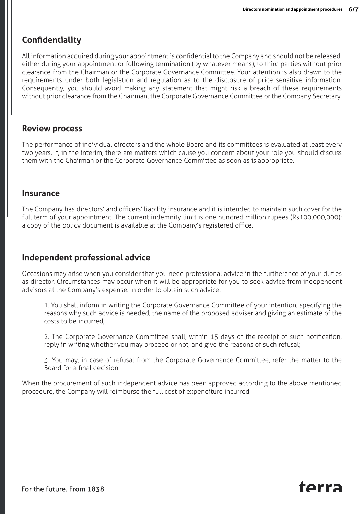## **Confidentiality**

All information acquired during your appointment is confidential to the Company and should not be released, either during your appointment or following termination (by whatever means), to third parties without prior clearance from the Chairman or the Corporate Governance Committee. Your attention is also drawn to the requirements under both legislation and regulation as to the disclosure of price sensitive information. Consequently, you should avoid making any statement that might risk a breach of these requirements without prior clearance from the Chairman, the Corporate Governance Committee or the Company Secretary.

## **Review process**

The performance of individual directors and the whole Board and its committees is evaluated at least every two years. If, in the interim, there are matters which cause you concern about your role you should discuss them with the Chairman or the Corporate Governance Committee as soon as is appropriate.

## **Insurance**

The Company has directors' and officers' liability insurance and it is intended to maintain such cover for the full term of your appointment. The current indemnity limit is one hundred million rupees (Rs100,000,000); a copy of the policy document is available at the Company's registered office.

## **Independent professional advice**

Occasions may arise when you consider that you need professional advice in the furtherance of your duties as director. Circumstances may occur when it will be appropriate for you to seek advice from independent advisors at the Company's expense. In order to obtain such advice:

1. You shall inform in writing the Corporate Governance Committee of your intention, specifying the reasons why such advice is needed, the name of the proposed adviser and giving an estimate of the costs to be incurred;

2. The Corporate Governance Committee shall, within 15 days of the receipt of such notification, reply in writing whether you may proceed or not, and give the reasons of such refusal;

3. You may, in case of refusal from the Corporate Governance Committee, refer the matter to the Board for a final decision.

When the procurement of such independent advice has been approved according to the above mentioned procedure, the Company will reimburse the full cost of expenditure incurred.